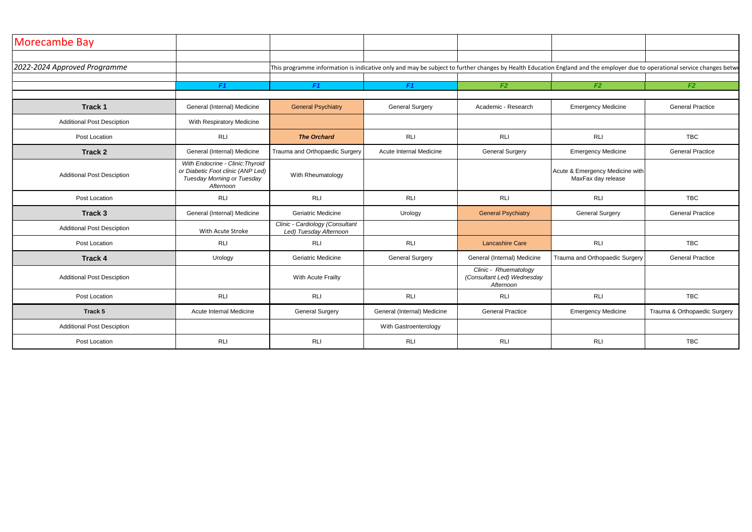| Morecambe Bay                     |                                                                                                                  |                                                           |                             |                                                                  |                                                                                                                                                                           |                              |
|-----------------------------------|------------------------------------------------------------------------------------------------------------------|-----------------------------------------------------------|-----------------------------|------------------------------------------------------------------|---------------------------------------------------------------------------------------------------------------------------------------------------------------------------|------------------------------|
| 2022-2024 Approved Programme      |                                                                                                                  |                                                           |                             |                                                                  | This programme information is indicative only and may be subject to further changes by Health Education England and the employer due to operational service changes betwe |                              |
|                                   | F1                                                                                                               | F1                                                        | F1                          | F2                                                               | F2                                                                                                                                                                        | F2                           |
| <b>Track 1</b>                    | General (Internal) Medicine                                                                                      | <b>General Psychiatry</b>                                 | <b>General Surgery</b>      | Academic - Research                                              | <b>Emergency Medicine</b>                                                                                                                                                 | <b>General Practice</b>      |
| <b>Additional Post Desciption</b> | With Respiratory Medicine                                                                                        |                                                           |                             |                                                                  |                                                                                                                                                                           |                              |
| Post Location                     | <b>RLI</b>                                                                                                       | <b>The Orchard</b>                                        | <b>RLI</b>                  | <b>RLI</b>                                                       | <b>RLI</b>                                                                                                                                                                | <b>TBC</b>                   |
| <b>Track 2</b>                    | General (Internal) Medicine                                                                                      | Trauma and Orthopaedic Surgery                            | Acute Internal Medicine     | <b>General Surgery</b>                                           | <b>Emergency Medicine</b>                                                                                                                                                 | <b>General Practice</b>      |
| <b>Additional Post Desciption</b> | With Endocrine - Clinic: Thyroid<br>or Diabetic Foot clinic (ANP Led)<br>Tuesday Morning or Tuesday<br>Afternoon | With Rheumatology                                         |                             |                                                                  | Acute & Emergency Medicine with<br>MaxFax day release                                                                                                                     |                              |
| Post Location                     | <b>RLI</b>                                                                                                       | <b>RLI</b>                                                | <b>RLI</b>                  | <b>RLI</b>                                                       | RLI                                                                                                                                                                       | <b>TBC</b>                   |
| Track 3                           | General (Internal) Medicine                                                                                      | <b>Geriatric Medicine</b>                                 | Urology                     | <b>General Psychiatry</b>                                        | <b>General Surgery</b>                                                                                                                                                    | <b>General Practice</b>      |
| <b>Additional Post Desciption</b> | With Acute Stroke                                                                                                | Clinic - Cardiology (Consultant<br>Led) Tuesday Afternoon |                             |                                                                  |                                                                                                                                                                           |                              |
| Post Location                     | <b>RLI</b>                                                                                                       | <b>RLI</b>                                                | <b>RLI</b>                  | <b>Lancashire Care</b>                                           | <b>RLI</b>                                                                                                                                                                | <b>TBC</b>                   |
| <b>Track 4</b>                    | Urology                                                                                                          | Geriatric Medicine                                        | <b>General Surgery</b>      | General (Internal) Medicine                                      | Trauma and Orthopaedic Surgery                                                                                                                                            | <b>General Practice</b>      |
| <b>Additional Post Desciption</b> |                                                                                                                  | With Acute Frailty                                        |                             | Clinic - Rhuematology<br>(Consultant Led) Wednesday<br>Afternoon |                                                                                                                                                                           |                              |
| Post Location                     | <b>RLI</b>                                                                                                       | <b>RLI</b>                                                | <b>RLI</b>                  | <b>RLI</b>                                                       | RLI                                                                                                                                                                       | <b>TBC</b>                   |
| Track 5                           | Acute Internal Medicine                                                                                          | <b>General Surgery</b>                                    | General (Internal) Medicine | <b>General Practice</b>                                          | <b>Emergency Medicine</b>                                                                                                                                                 | Trauma & Orthopaedic Surgery |
| <b>Additional Post Desciption</b> |                                                                                                                  |                                                           | With Gastroenterology       |                                                                  |                                                                                                                                                                           |                              |
| Post Location                     | <b>RLI</b>                                                                                                       | <b>RLI</b>                                                | <b>RLI</b>                  | <b>RLI</b>                                                       | <b>RLI</b>                                                                                                                                                                | <b>TBC</b>                   |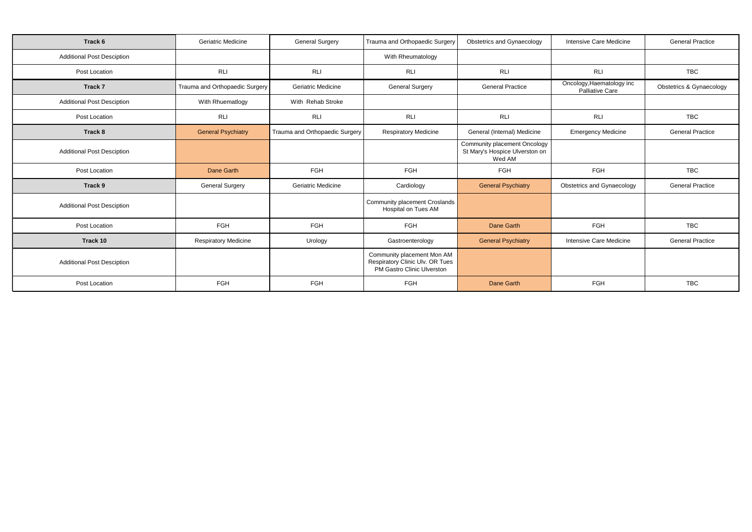| Track 6                           | <b>Geriatric Medicine</b>      | <b>General Surgery</b>         | Trauma and Orthopaedic Surgery                                                              | Obstetrics and Gynaecology                                               | <b>Intensive Care Medicine</b>                      | <b>General Practice</b>  |
|-----------------------------------|--------------------------------|--------------------------------|---------------------------------------------------------------------------------------------|--------------------------------------------------------------------------|-----------------------------------------------------|--------------------------|
| <b>Additional Post Desciption</b> |                                |                                | With Rheumatology                                                                           |                                                                          |                                                     |                          |
| Post Location                     | <b>RLI</b>                     | <b>RLI</b>                     | <b>RLI</b>                                                                                  | <b>RLI</b>                                                               | <b>RLI</b>                                          | <b>TBC</b>               |
| Track 7                           | Trauma and Orthopaedic Surgery | <b>Geriatric Medicine</b>      | <b>General Surgery</b>                                                                      | <b>General Practice</b>                                                  | Oncology, Haematology inc<br><b>Palliative Care</b> | Obstetrics & Gynaecology |
| <b>Additional Post Desciption</b> | With Rhuematlogy               | With Rehab Stroke              |                                                                                             |                                                                          |                                                     |                          |
| Post Location                     | <b>RLI</b>                     | <b>RLI</b>                     | <b>RLI</b>                                                                                  | <b>RLI</b>                                                               | <b>RLI</b>                                          | <b>TBC</b>               |
| Track 8                           | <b>General Psychiatry</b>      | Trauma and Orthopaedic Surgery | <b>Respiratory Medicine</b>                                                                 | General (Internal) Medicine                                              | <b>Emergency Medicine</b>                           | <b>General Practice</b>  |
| <b>Additional Post Desciption</b> |                                |                                |                                                                                             | Community placement Oncology<br>St Mary's Hospice Ulverston on<br>Wed AM |                                                     |                          |
| Post Location                     | Dane Garth                     | <b>FGH</b>                     | FGH                                                                                         | FGH                                                                      | FGH                                                 | <b>TBC</b>               |
| Track 9                           | <b>General Surgery</b>         | <b>Geriatric Medicine</b>      | Cardiology                                                                                  | <b>General Psychiatry</b>                                                | <b>Obstetrics and Gynaecology</b>                   | <b>General Practice</b>  |
| <b>Additional Post Desciption</b> |                                |                                | Community placement Croslands<br>Hospital on Tues AM                                        |                                                                          |                                                     |                          |
| Post Location                     | <b>FGH</b>                     | <b>FGH</b>                     | <b>FGH</b>                                                                                  | Dane Garth                                                               | <b>FGH</b>                                          | <b>TBC</b>               |
| Track 10                          | <b>Respiratory Medicine</b>    | Urology                        | Gastroenterology                                                                            | <b>General Psychiatry</b>                                                | <b>Intensive Care Medicine</b>                      | <b>General Practice</b>  |
| <b>Additional Post Desciption</b> |                                |                                | Community placement Mon AM<br>Respiratory Clinic Ulv. OR Tues<br>PM Gastro Clinic Ulverston |                                                                          |                                                     |                          |
| Post Location                     | <b>FGH</b>                     | <b>FGH</b>                     | FGH                                                                                         | Dane Garth                                                               | FGH                                                 | <b>TBC</b>               |